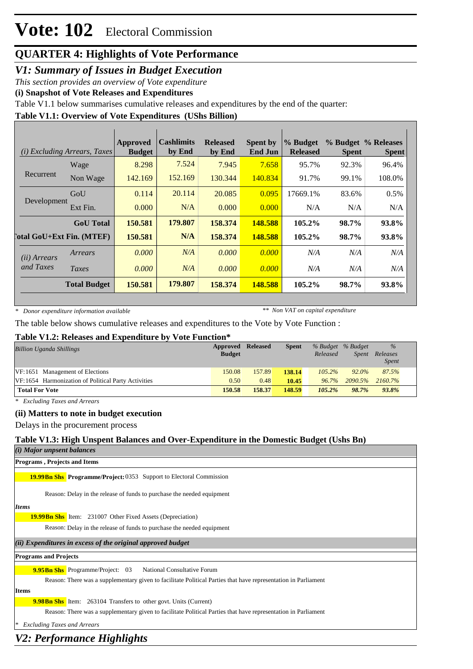### *V1: Summary of Issues in Budget Execution*

*This section provides an overview of Vote expenditure*

**(i) Snapshot of Vote Releases and Expenditures**

Table V1.1 below summarises cumulative releases and expenditures by the end of the quarter:

### **Table V1.1: Overview of Vote Expenditures (UShs Billion)**

| (i)                   | <i>Excluding Arrears, Taxes</i>  | Approved<br><b>Budget</b> | <b>Cashlimits</b><br>by End | <b>Released</b><br>by End | <b>Spent by</b><br><b>End Jun</b> | % Budget<br><b>Released</b> | <b>Spent</b> | % Budget % Releases<br><b>Spent</b> |
|-----------------------|----------------------------------|---------------------------|-----------------------------|---------------------------|-----------------------------------|-----------------------------|--------------|-------------------------------------|
|                       | Wage                             | 8.298                     | 7.524                       | 7.945                     | 7.658                             | 95.7%                       | 92.3%        | 96.4%                               |
| Recurrent             | Non Wage                         | 142.169                   | 152.169                     | 130.344                   | 140.834                           | 91.7%                       | 99.1%        | 108.0%                              |
|                       | GoU                              | 0.114                     | 20.114                      | 20.085                    | 0.095                             | 17669.1%                    | 83.6%        | 0.5%                                |
| Development           | Ext Fin.                         | 0.000                     | N/A                         | 0.000                     | 0.000                             | N/A                         | N/A          | N/A                                 |
|                       | <b>GoU</b> Total                 | 150.581                   | 179.807                     | 158.374                   | 148.588                           | 105.2%                      | 98.7%        | 93.8%                               |
|                       | <b>Total GoU+Ext Fin. (MTEF)</b> | 150.581                   | N/A                         | 158.374                   | 148.588                           | 105.2%                      | 98.7%        | 93.8%                               |
| ( <i>ii</i> ) Arrears | Arrears                          | 0.000                     | N/A                         | 0.000                     | 0.000                             | N/A                         | N/A          | N/A                                 |
| and Taxes             | Taxes                            | 0.000                     | N/A                         | 0.000                     | 0.000                             | N/A                         | N/A          | N/A                                 |
|                       | <b>Total Budget</b>              | 150.581                   | 179.807                     | 158.374                   | 148.588                           | 105.2%                      | 98.7%        | 93.8%                               |

*\* Donor expenditure information available*

*\*\* Non VAT on capital expenditure*

The table below shows cumulative releases and expenditures to the Vote by Vote Function :

### **Table V1.2: Releases and Expenditure by Vote Function\***

| <b>Billion Uganda Shillings</b>                     | Approved<br><b>Budget</b> | <b>Released</b> | <b>Spent</b> | Released  | % Budget % Budget<br>Spent | $\%$<br>Releases |  |
|-----------------------------------------------------|---------------------------|-----------------|--------------|-----------|----------------------------|------------------|--|
|                                                     |                           |                 |              |           |                            | <b>Spent</b>     |  |
| VF:1651 Management of Elections                     | 150.08                    | 157.89          | 138.14       | $105.2\%$ | $92.0\%$                   | 87.5%            |  |
| VF:1654 Harmonization of Political Party Activities | 0.50                      | 0.48            | 10.45        |           | 96.7% 2090.5%              | 2160.7%          |  |
| <b>Total For Vote</b>                               | 150.58                    | 158.37          | 148.59       | $105.2\%$ | 98.7%                      | 93.8%            |  |

*\* Excluding Taxes and Arrears*

### **(ii) Matters to note in budget execution**

Delays in the procurement process

### **Table V1.3: High Unspent Balances and Over-Expenditure in the Domestic Budget (Ushs Bn)**

| (i) Major unpsent balances |  |  |
|----------------------------|--|--|
|----------------------------|--|--|

**Programs , Projects and Items**

**19.99Bn Shs Programme/Project: 0353 Support to Electoral Commission** 

Reason: Delay in the release of funds to purchase the needed equipment

*Items*

19.99Bn Shs Item: 231007 Other Fixed Assets (Depreciation)

Reason: Delay in the release of funds to purchase the needed equipment

### *(ii) Expenditures in excess of the original approved budget*

### **Programs and Projects**

**9.95Bn Shs** Programme/Project: 03 National Consultative Forum

Reason: There was a supplementary given to facilitate Political Parties that have representation in Parliament

### **Items**

**9.98Bn Shs** Item: 263104 Transfers to other govt. Units (Current)

Reason: There was a supplementary given to facilitate Political Parties that have representation in Parliament

*\* Excluding Taxes and Arrears*

### *V2: Performance Highlights*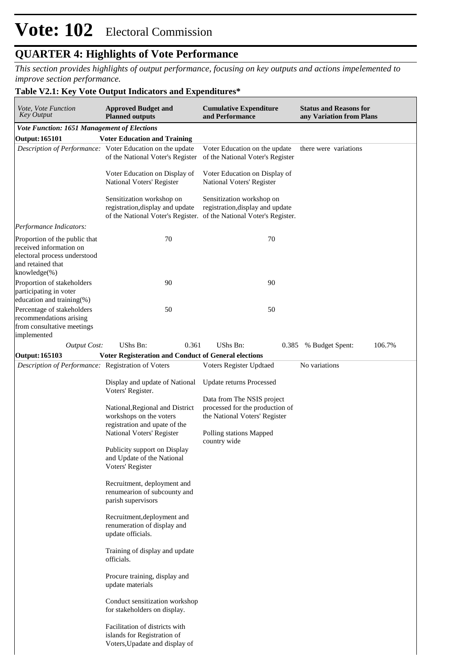*This section provides highlights of output performance, focusing on key outputs and actions impelemented to improve section performance.*

### **Table V2.1: Key Vote Output Indicators and Expenditures\***

| Vote, Vote Function<br><b>Key Output</b>                                                                                             | <b>Approved Budget and</b><br><b>Planned outputs</b>                                                                                                                                                                                                                                                                                                                                                                                                                                                                                                                                                                                               | <b>Cumulative Expenditure</b><br>and Performance                                                                                                                             | <b>Status and Reasons for</b><br>any Variation from Plans |  |  |
|--------------------------------------------------------------------------------------------------------------------------------------|----------------------------------------------------------------------------------------------------------------------------------------------------------------------------------------------------------------------------------------------------------------------------------------------------------------------------------------------------------------------------------------------------------------------------------------------------------------------------------------------------------------------------------------------------------------------------------------------------------------------------------------------------|------------------------------------------------------------------------------------------------------------------------------------------------------------------------------|-----------------------------------------------------------|--|--|
| <b>Vote Function: 1651 Management of Elections</b>                                                                                   |                                                                                                                                                                                                                                                                                                                                                                                                                                                                                                                                                                                                                                                    |                                                                                                                                                                              |                                                           |  |  |
| <b>Output: 165101</b>                                                                                                                | <b>Voter Education and Training</b>                                                                                                                                                                                                                                                                                                                                                                                                                                                                                                                                                                                                                |                                                                                                                                                                              |                                                           |  |  |
|                                                                                                                                      | Description of Performance: Voter Education on the update<br>of the National Voter's Register                                                                                                                                                                                                                                                                                                                                                                                                                                                                                                                                                      | Voter Education on the update<br>of the National Voter's Register                                                                                                            | there were variations                                     |  |  |
|                                                                                                                                      | Voter Education on Display of<br>National Voters' Register                                                                                                                                                                                                                                                                                                                                                                                                                                                                                                                                                                                         | Voter Education on Display of<br>National Voters' Register                                                                                                                   |                                                           |  |  |
|                                                                                                                                      | Sensitization workshop on<br>registration, display and update                                                                                                                                                                                                                                                                                                                                                                                                                                                                                                                                                                                      | Sensitization workshop on<br>registration, display and update<br>of the National Voter's Register. of the National Voter's Register.                                         |                                                           |  |  |
| Performance Indicators:                                                                                                              |                                                                                                                                                                                                                                                                                                                                                                                                                                                                                                                                                                                                                                                    |                                                                                                                                                                              |                                                           |  |  |
| Proportion of the public that<br>received information on<br>electoral process understood<br>and retained that<br>$k$ nowledge $(\%)$ | 70                                                                                                                                                                                                                                                                                                                                                                                                                                                                                                                                                                                                                                                 | 70                                                                                                                                                                           |                                                           |  |  |
| Proportion of stakeholders                                                                                                           | 90                                                                                                                                                                                                                                                                                                                                                                                                                                                                                                                                                                                                                                                 | 90                                                                                                                                                                           |                                                           |  |  |
| participating in voter<br>education and training(%)                                                                                  |                                                                                                                                                                                                                                                                                                                                                                                                                                                                                                                                                                                                                                                    |                                                                                                                                                                              |                                                           |  |  |
| Percentage of stakeholders<br>recommendations arising<br>from consultative meetings<br>implemented                                   | 50                                                                                                                                                                                                                                                                                                                                                                                                                                                                                                                                                                                                                                                 | 50                                                                                                                                                                           |                                                           |  |  |
| <b>Output Cost:</b>                                                                                                                  | UShs Bn:<br>0.361                                                                                                                                                                                                                                                                                                                                                                                                                                                                                                                                                                                                                                  | UShs Bn:                                                                                                                                                                     | 0.385 % Budget Spent:<br>106.7%                           |  |  |
| Output: 165103                                                                                                                       | <b>Voter Registeration and Conduct of General elections</b>                                                                                                                                                                                                                                                                                                                                                                                                                                                                                                                                                                                        |                                                                                                                                                                              |                                                           |  |  |
| Description of Performance: Registration of Voters                                                                                   |                                                                                                                                                                                                                                                                                                                                                                                                                                                                                                                                                                                                                                                    | Voters Register Updtaed                                                                                                                                                      | No variations                                             |  |  |
|                                                                                                                                      | Display and update of National<br>Voters' Register.<br>National, Regional and District<br>workshops on the voters<br>registration and upate of the<br>National Voters' Register<br>Publicity support on Display<br>and Update of the National<br>Voters' Register<br>Recruitment, deployment and<br>renumearion of subcounty and<br>parish supervisors<br>Recruitment, deployment and<br>renumeration of display and<br>update officials.<br>Training of display and update<br>officials.<br>Procure training, display and<br>update materials<br>Conduct sensitization workshop<br>for stakeholders on display.<br>Facilitation of districts with | <b>Update returns Processed</b><br>Data from The NSIS project<br>processed for the production of<br>the National Voters' Register<br>Polling stations Mapped<br>country wide |                                                           |  |  |
|                                                                                                                                      | islands for Registration of<br>Voters, Upadate and display of                                                                                                                                                                                                                                                                                                                                                                                                                                                                                                                                                                                      |                                                                                                                                                                              |                                                           |  |  |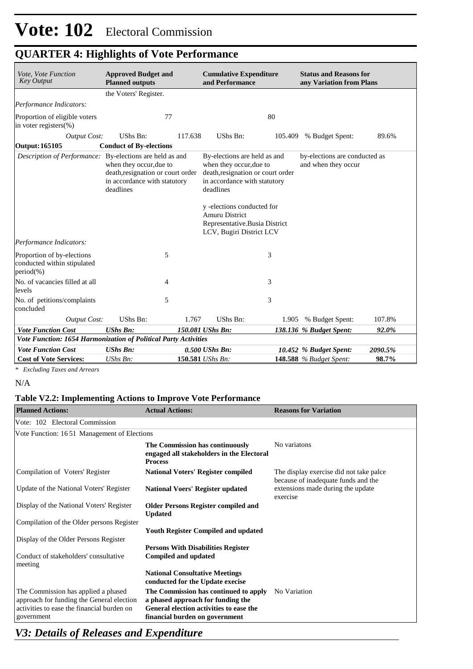| Vote, Vote Function<br><b>Key Output</b>                                  | <b>Approved Budget and</b><br><b>Planned outputs</b>                                                      | <b>Cumulative Expenditure</b><br>and Performance                                                                                                                                                                                                              | <b>Status and Reasons for</b><br>any Variation from Plans |
|---------------------------------------------------------------------------|-----------------------------------------------------------------------------------------------------------|---------------------------------------------------------------------------------------------------------------------------------------------------------------------------------------------------------------------------------------------------------------|-----------------------------------------------------------|
|                                                                           | the Voters' Register.                                                                                     |                                                                                                                                                                                                                                                               |                                                           |
| Performance Indicators:                                                   |                                                                                                           |                                                                                                                                                                                                                                                               |                                                           |
| Proportion of eligible voters<br>in voter registers(%)                    | 77                                                                                                        | 80                                                                                                                                                                                                                                                            |                                                           |
| <b>Output Cost:</b>                                                       | UShs Bn:<br>117.638                                                                                       | UShs Bn:<br>105.409                                                                                                                                                                                                                                           | 89.6%<br>% Budget Spent:                                  |
| Output: 165105                                                            | <b>Conduct of By-elections</b>                                                                            |                                                                                                                                                                                                                                                               |                                                           |
| Description of Performance: By-elections are held as and                  | when they occur, due to<br>death, resignation or court order<br>in accordance with statutory<br>deadlines | By-elections are held as and<br>when they occur, due to<br>death, resignation or court order<br>in accordance with statutory<br>deadlines<br>y -elections conducted for<br><b>Amuru District</b><br>Representative.Busia District<br>LCV, Bugiri District LCV | by-elections are conducted as<br>and when they occur      |
| Performance Indicators:                                                   |                                                                                                           |                                                                                                                                                                                                                                                               |                                                           |
| Proportion of by-elections<br>conducted within stipulated<br>$period(\%)$ | 5                                                                                                         | 3                                                                                                                                                                                                                                                             |                                                           |
| No. of vacancies filled at all<br>levels                                  | 4                                                                                                         | 3                                                                                                                                                                                                                                                             |                                                           |
| No. of petitions/complaints<br>concluded                                  | 5                                                                                                         | 3                                                                                                                                                                                                                                                             |                                                           |
| <b>Output Cost:</b>                                                       | UShs Bn:<br>1.767                                                                                         | UShs Bn:<br>1.905                                                                                                                                                                                                                                             | 107.8%<br>% Budget Spent:                                 |
| <b>Vote Function Cost</b>                                                 | <b>UShs Bn:</b>                                                                                           | 150.081 UShs Bn:                                                                                                                                                                                                                                              | 138.136 % Budget Spent:<br>92.0%                          |
|                                                                           | Vote Function: 1654 Harmonization of Political Party Activities                                           |                                                                                                                                                                                                                                                               |                                                           |
| <b>Vote Function Cost</b>                                                 | <b>UShs Bn:</b>                                                                                           | 0.500 UShs Bn:                                                                                                                                                                                                                                                | 10.452 % Budget Spent:<br>2090.5%                         |
| <b>Cost of Vote Services:</b>                                             | $UShs Bn$ :                                                                                               | 150.581 UShs Bn:                                                                                                                                                                                                                                              | <b>148.588</b> % Budget Spent:<br>98.7%                   |

*\* Excluding Taxes and Arrears*

#### N/A

### **Table V2.2: Implementing Actions to Improve Vote Performance**

| <b>Planned Actions:</b>                                                                                                                      | <b>Actual Actions:</b>                                                                                                                                  | <b>Reasons for Variation</b>                                                   |
|----------------------------------------------------------------------------------------------------------------------------------------------|---------------------------------------------------------------------------------------------------------------------------------------------------------|--------------------------------------------------------------------------------|
| Vote: 102 Electoral Commission                                                                                                               |                                                                                                                                                         |                                                                                |
| Vote Function: 1651 Management of Elections                                                                                                  |                                                                                                                                                         |                                                                                |
|                                                                                                                                              | The Commission has continuously<br>engaged all stakeholders in the Electoral<br><b>Process</b>                                                          | No variatons                                                                   |
| Compilation of Voters' Register                                                                                                              | <b>National Voters' Register compiled</b>                                                                                                               | The display exercise did not take palce<br>because of inadequate funds and the |
| Update of the National Voters' Register                                                                                                      | <b>National Voers' Register updated</b>                                                                                                                 | extensions made during the update<br>exercise                                  |
| Display of the National Voters' Register                                                                                                     | <b>Older Persons Register compiled and</b><br><b>Updated</b>                                                                                            |                                                                                |
| Compilation of the Older persons Register                                                                                                    |                                                                                                                                                         |                                                                                |
| Display of the Older Persons Register                                                                                                        | <b>Youth Register Compiled and updated</b>                                                                                                              |                                                                                |
| Conduct of stakeholders' consultative<br>meeting                                                                                             | <b>Persons With Disabilities Register</b><br><b>Compiled and updated</b>                                                                                |                                                                                |
|                                                                                                                                              | <b>National Consultative Meetings</b><br>conducted for the Update execise                                                                               |                                                                                |
| The Commission has applied a phased<br>approach for funding the General election<br>activities to ease the financial burden on<br>government | The Commission has continued to apply<br>a phased approach for funding the<br>General election activities to ease the<br>financial burden on government | No Variation                                                                   |

### *V3: Details of Releases and Expenditure*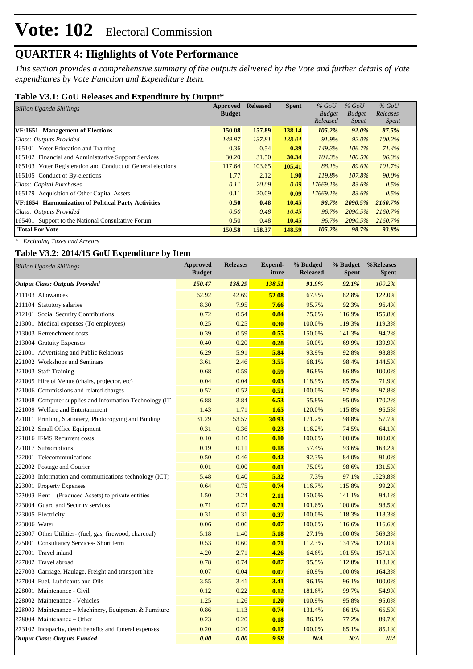*This section provides a comprehensive summary of the outputs delivered by the Vote and further details of Vote expenditures by Vote Function and Expenditure Item.*

### **Table V3.1: GoU Releases and Expenditure by Output\***

| <b>Billion Uganda Shillings</b>                             | Approved      | <b>Released</b> | <b>Spent</b> | $%$ GoU       | $%$ GoU       | $%$ GoU      |  |
|-------------------------------------------------------------|---------------|-----------------|--------------|---------------|---------------|--------------|--|
|                                                             | <b>Budget</b> |                 |              | <b>Budget</b> | <b>Budget</b> | Releases     |  |
|                                                             |               |                 |              | Released      | <i>Spent</i>  | <i>Spent</i> |  |
| VF:1651 Management of Elections                             | 150.08        | 157.89          | 138.14       | 105.2%        | 92.0%         | 87.5%        |  |
| Class: Outputs Provided                                     | 149.97        | 137.81          | 138.04       | 91.9%         | 92.0%         | 100.2%       |  |
| 165101 Voter Education and Training                         | 0.36          | 0.54            | 0.39         | 149.3%        | 106.7%        | 71.4%        |  |
| 165102 Financial and Administrative Support Services        | 30.20         | 31.50           | 30.34        | 104.3%        | $100.5\%$     | 96.3%        |  |
| 165103 Voter Registeration and Conduct of General elections | 117.64        | 103.65          | 105.41       | 88.1%         | 89.6%         | 101.7%       |  |
| 165105 Conduct of By-elections                              | 1.77          | 2.12            | 1.90         | 119.8%        | 107.8%        | 90.0%        |  |
| Class: Capital Purchases                                    | 0.11          | 20.09           | 0.09         | 17669.1%      | 83.6%         | 0.5%         |  |
| 165179 Acquisition of Other Capital Assets                  | 0.11          | 20.09           | 0.09         | 17669.1%      | 83.6%         | 0.5%         |  |
| VF:1654 Harmonization of Political Party Activities         | 0.50          | 0.48            | 10.45        | 96.7%         | 2090.5%       | 2160.7%      |  |
| Class: Outputs Provided                                     | 0.50          | 0.48            | 10.45        | 96.7%         | 2090.5%       | 2160.7%      |  |
| 165401 Support to the National Consultative Forum           | 0.50          | 0.48            | 10.45        | 96.7%         | 2090.5%       | 2160.7%      |  |
| <b>Total For Vote</b>                                       | 150.58        | 158.37          | 148.59       | 105.2%        | 98.7%         | 93.8%        |  |

*\* Excluding Taxes and Arrears*

### **Table V3.2: 2014/15 GoU Expenditure by Item**

| <b>Billion Uganda Shillings</b>                         | <b>Approved</b><br><b>Budget</b> | <b>Releases</b> | <b>Expend-</b><br>iture | % Budged<br><b>Released</b> | % Budget<br><b>Spent</b> | %Releases<br><b>Spent</b> |
|---------------------------------------------------------|----------------------------------|-----------------|-------------------------|-----------------------------|--------------------------|---------------------------|
| <b>Output Class: Outputs Provided</b>                   | 150.47                           | 138.29          | 138.51                  | 91.9%                       | 92.1%                    | 100.2%                    |
| 211103 Allowances                                       | 62.92                            | 42.69           | 52.08                   | 67.9%                       | 82.8%                    | 122.0%                    |
| 211104 Statutory salaries                               | 8.30                             | 7.95            | 7.66                    | 95.7%                       | 92.3%                    | 96.4%                     |
| 212101 Social Security Contributions                    | 0.72                             | 0.54            | 0.84                    | 75.0%                       | 116.9%                   | 155.8%                    |
| 213001 Medical expenses (To employees)                  | 0.25                             | 0.25            | 0.30                    | 100.0%                      | 119.3%                   | 119.3%                    |
| 213003 Retrenchment costs                               | 0.39                             | 0.59            | 0.55                    | 150.0%                      | 141.3%                   | 94.2%                     |
| 213004 Gratuity Expenses                                | 0.40                             | 0.20            | 0.28                    | 50.0%                       | 69.9%                    | 139.9%                    |
| 221001 Advertising and Public Relations                 | 6.29                             | 5.91            | 5.84                    | 93.9%                       | 92.8%                    | 98.8%                     |
| 221002 Workshops and Seminars                           | 3.61                             | 2.46            | 3.55                    | 68.1%                       | 98.4%                    | 144.5%                    |
| 221003 Staff Training                                   | 0.68                             | 0.59            | 0.59                    | 86.8%                       | 86.8%                    | 100.0%                    |
| 221005 Hire of Venue (chairs, projector, etc)           | 0.04                             | 0.04            | 0.03                    | 118.9%                      | 85.5%                    | 71.9%                     |
| 221006 Commissions and related charges                  | 0.52                             | 0.52            | 0.51                    | 100.0%                      | 97.8%                    | 97.8%                     |
| 221008 Computer supplies and Information Technology (IT | 6.88                             | 3.84            | 6.53                    | 55.8%                       | 95.0%                    | 170.2%                    |
| 221009 Welfare and Entertainment                        | 1.43                             | 1.71            | 1.65                    | 120.0%                      | 115.8%                   | 96.5%                     |
| 221011 Printing, Stationery, Photocopying and Binding   | 31.29                            | 53.57           | 30.93                   | 171.2%                      | 98.8%                    | 57.7%                     |
| 221012 Small Office Equipment                           | 0.31                             | 0.36            | 0.23                    | 116.2%                      | 74.5%                    | 64.1%                     |
| 221016 IFMS Recurrent costs                             | 0.10                             | 0.10            | 0.10                    | 100.0%                      | 100.0%                   | 100.0%                    |
| 221017 Subscriptions                                    | 0.19                             | 0.11            | 0.18                    | 57.4%                       | 93.6%                    | 163.2%                    |
| 222001 Telecommunications                               | 0.50                             | 0.46            | 0.42                    | 92.3%                       | 84.0%                    | 91.0%                     |
| 222002 Postage and Courier                              | 0.01                             | 0.00            | 0.01                    | 75.0%                       | 98.6%                    | 131.5%                    |
| 222003 Information and communications technology (ICT)  | 5.48                             | 0.40            | 5.32                    | 7.3%                        | 97.1%                    | 1329.8%                   |
| 223001 Property Expenses                                | 0.64                             | 0.75            | 0.74                    | 116.7%                      | 115.8%                   | 99.2%                     |
| 223003 Rent – (Produced Assets) to private entities     | 1.50                             | 2.24            | 2.11                    | 150.0%                      | 141.1%                   | 94.1%                     |
| 223004 Guard and Security services                      | 0.71                             | 0.72            | 0.71                    | 101.6%                      | 100.0%                   | 98.5%                     |
| 223005 Electricity                                      | 0.31                             | 0.31            | 0.37                    | 100.0%                      | 118.3%                   | 118.3%                    |
| 223006 Water                                            | 0.06                             | 0.06            | 0.07                    | 100.0%                      | 116.6%                   | 116.6%                    |
| 223007 Other Utilities- (fuel, gas, firewood, charcoal) | 5.18                             | 1.40            | 5.18                    | 27.1%                       | 100.0%                   | 369.3%                    |
| 225001 Consultancy Services- Short term                 | 0.53                             | 0.60            | 0.71                    | 112.3%                      | 134.7%                   | 120.0%                    |
| 227001 Travel inland                                    | 4.20                             | 2.71            | 4.26                    | 64.6%                       | 101.5%                   | 157.1%                    |
| 227002 Travel abroad                                    | 0.78                             | 0.74            | 0.87                    | 95.5%                       | 112.8%                   | 118.1%                    |
| 227003 Carriage, Haulage, Freight and transport hire    | 0.07                             | 0.04            | 0.07                    | 60.9%                       | 100.0%                   | 164.3%                    |
| 227004 Fuel, Lubricants and Oils                        | 3.55                             | 3.41            | 3.41                    | 96.1%                       | 96.1%                    | 100.0%                    |
| 228001 Maintenance - Civil                              | 0.12                             | 0.22            | 0.12                    | 181.6%                      | 99.7%                    | 54.9%                     |
| 228002 Maintenance - Vehicles                           | 1.25                             | 1.26            | 1.20                    | 100.9%                      | 95.8%                    | 95.0%                     |
| 228003 Maintenance – Machinery, Equipment & Furniture   | 0.86                             | 1.13            | 0.74                    | 131.4%                      | 86.1%                    | 65.5%                     |
| 228004 Maintenance - Other                              | 0.23                             | 0.20            | 0.18                    | 86.1%                       | 77.2%                    | 89.7%                     |
| 273102 Incapacity, death benefits and funeral expenses  | 0.20                             | 0.20            | 0.17                    | 100.0%                      | 85.1%                    | 85.1%                     |
| <b>Output Class: Outputs Funded</b>                     | 0.00                             | 0.00            | 9.98                    | N/A                         | N/A                      | N/A                       |